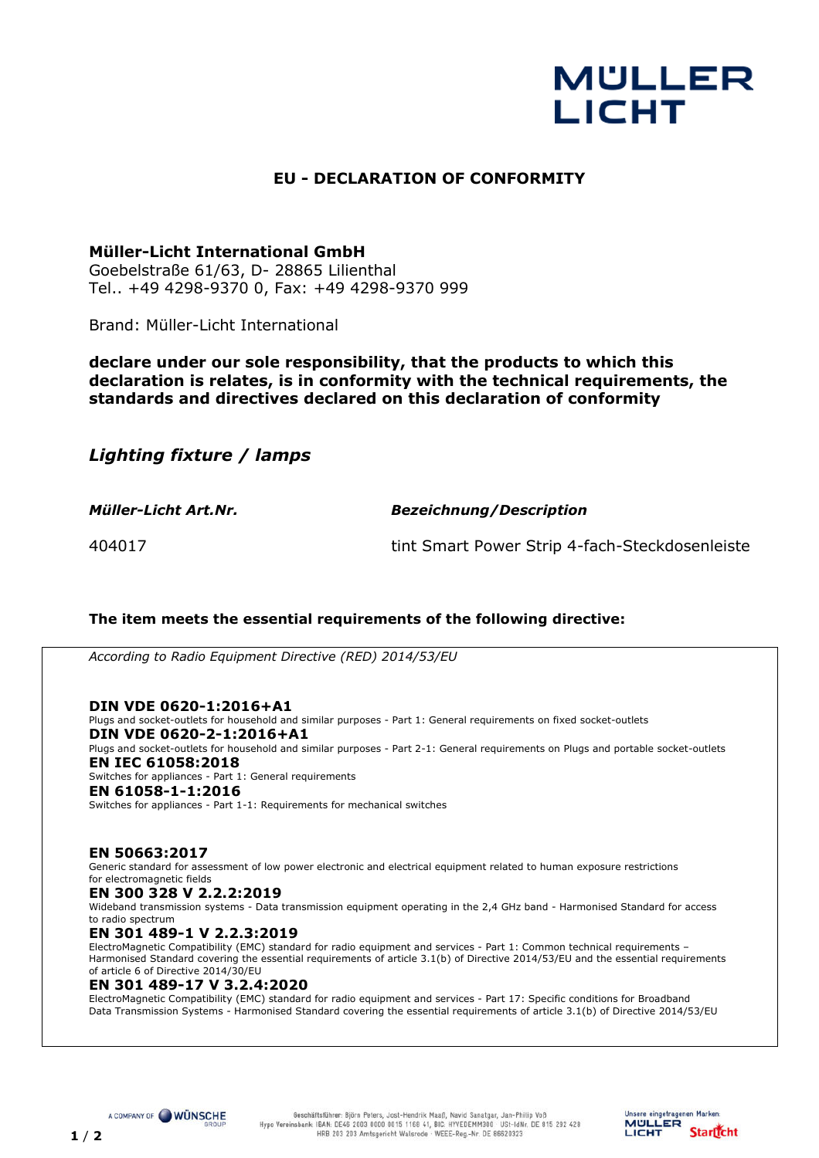# **MULLER LICHT**

## **EU - DECLARATION OF CONFORMITY**

### **Müller-Licht International GmbH**

Goebelstraße 61/63, D- 28865 Lilienthal Tel.. +49 4298-9370 0, Fax: +49 4298-9370 999

Brand: Müller-Licht International

**declare under our sole responsibility, that the products to which this declaration is relates, is in conformity with the technical requirements, the standards and directives declared on this declaration of conformity**

*Lighting fixture / lamps* 

*Müller-Licht Art.Nr. Bezeichnung/Description*

404017 tint Smart Power Strip 4-fach-Steckdosenleiste

Unsere eingetragenen Marken: **MULLER** 

LICHT

**Startfcht** 

#### **The item meets the essential requirements of the following directive:**

*According to Radio Equipment Directive (RED) 2014/53/EU*

**DIN VDE 0620-1:2016+A1**  Plugs and socket-outlets for household and similar purposes - Part 1: General requirements on fixed socket-outlets **DIN VDE 0620-2-1:2016+A1**  Plugs and socket-outlets for household and similar purposes - Part 2-1: General requirements on Plugs and portable socket-outlets **EN IEC 61058:2018**  Switches for appliances - Part 1: General requirements **EN 61058-1-1:2016**  Switches for appliances - Part 1-1: Requirements for mechanical switches

**EN 50663:2017**  Generic standard for assessment of low power electronic and electrical equipment related to human exposure restrictions for electromagnetic fields

**EN 300 328 V 2.2.2:2019** 

Wideband transmission systems - Data transmission equipment operating in the 2,4 GHz band - Harmonised Standard for access to radio spectrum

**EN 301 489-1 V 2.2.3:2019** 

ElectroMagnetic Compatibility (EMC) standard for radio equipment and services - Part 1: Common technical requirements – Harmonised Standard covering the essential requirements of article 3.1(b) of Directive 2014/53/EU and the essential requirements of article 6 of Directive 2014/30/EU

#### **EN 301 489-17 V 3.2.4:2020**

ElectroMagnetic Compatibility (EMC) standard for radio equipment and services - Part 17: Specific conditions for Broadband Data Transmission Systems - Harmonised Standard covering the essential requirements of article 3.1(b) of Directive 2014/53/EU